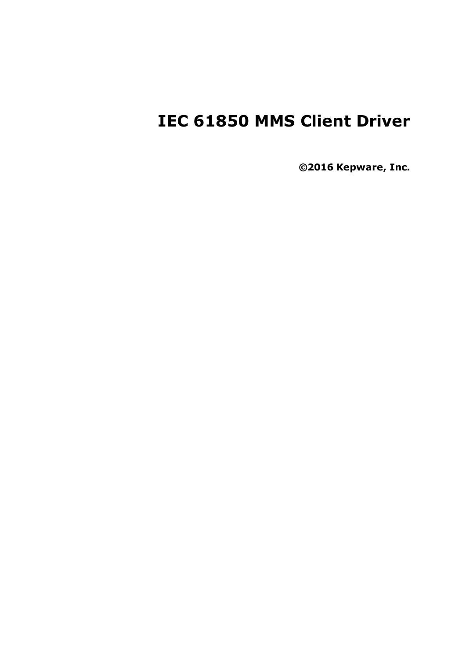# **IEC 61850 MMS Client Driver**

**©2016 Kepware, Inc.**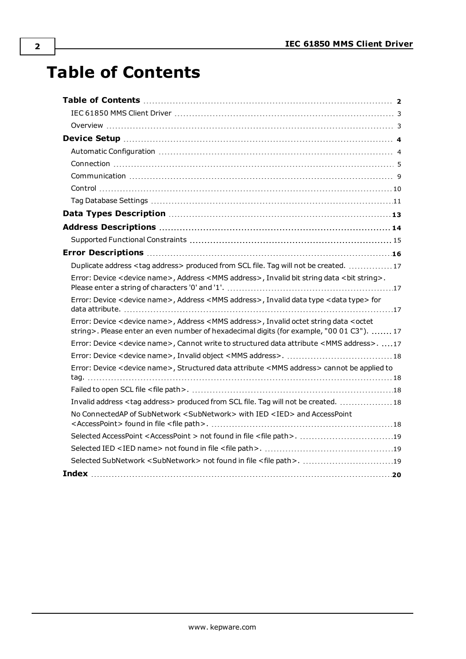# <span id="page-1-0"></span>**Table of Contents**

| Duplicate address <tag address=""> produced from SCL file. Tag will not be created.  17</tag>                                                                                                                        |
|----------------------------------------------------------------------------------------------------------------------------------------------------------------------------------------------------------------------|
| Error: Device < device name>, Address < MMS address>, Invalid bit string data < bit string>.                                                                                                                         |
| Error: Device < device name>, Address < MMS address>, Invalid data type < data type> for                                                                                                                             |
| Error: Device <device name="">, Address <mms address="">, Invalid octet string data <octet<br>string&gt;. Please enter an even number of hexadecimal digits (for example, "00 01 C3").  17</octet<br></mms></device> |
| Error: Device < device name>, Cannot write to structured data attribute < MMS address>. 17                                                                                                                           |
|                                                                                                                                                                                                                      |
| Error: Device < device name>, Structured data attribute <mms address=""> cannot be applied to</mms>                                                                                                                  |
|                                                                                                                                                                                                                      |
| Invalid address <tag address=""> produced from SCL file. Tag will not be created.  18</tag>                                                                                                                          |
| No ConnectedAP of SubNetwork <subnetwork> with IED <ied> and AccessPoint</ied></subnetwork>                                                                                                                          |
| Selected AccessPoint <accesspoint> not found in file <file path="">. 19</file></accesspoint>                                                                                                                         |
|                                                                                                                                                                                                                      |
|                                                                                                                                                                                                                      |
|                                                                                                                                                                                                                      |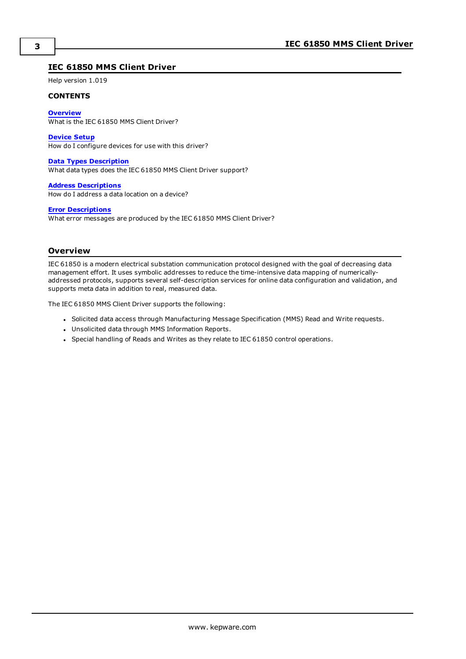# <span id="page-2-0"></span>**IEC 61850 MMS Client Driver**

Help version 1.019

#### **CONTENTS**

**[Overview](#page-2-1)** What is the IEC 61850 MMS Client Driver?

**[Device](#page-3-0) Setup** How do I configure devices for use with this driver?

**Data Types [Description](#page-12-0)** What data types does the IEC 61850 MMS Client Driver support?

**Address [Descriptions](#page-13-0)** How do I address a data location on a device?

#### **Error [Descriptions](#page-15-0)**

What error messages are produced by the IEC 61850 MMS Client Driver?

#### <span id="page-2-1"></span>**Overview**

IEC 61850 is a modern electrical substation communication protocol designed with the goal of decreasing data management effort. It uses symbolic addresses to reduce the time-intensive data mapping of numericallyaddressed protocols, supports several self-description services for online data configuration and validation, and supports meta data in addition to real, measured data.

The IEC 61850 MMS Client Driver supports the following:

- Solicited data access through Manufacturing Message Specification (MMS) Read and Write requests.
- Unsolicited data through MMS Information Reports.
- Special handling of Reads and Writes as they relate to IEC 61850 control operations.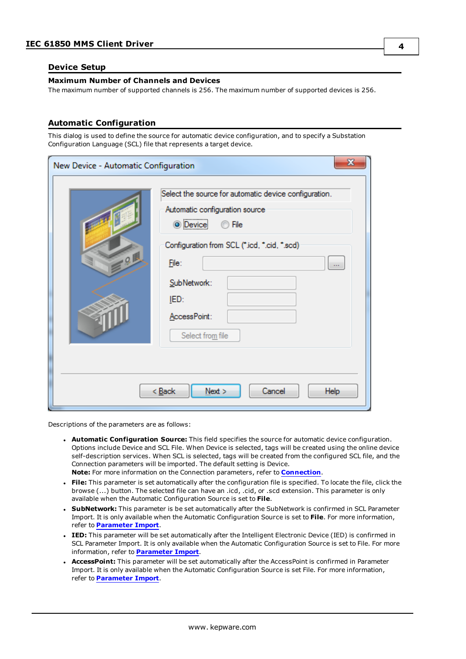#### <span id="page-3-0"></span>**Device Setup**

#### **Maximum Number of Channels and Devices**

The maximum number of supported channels is 256. The maximum number of supported devices is 256.

#### <span id="page-3-1"></span>**Automatic Configuration**

This dialog is used to define the source for automatic device configuration, and to specify a Substation Configuration Language (SCL) file that represents a target device.

| New Device - Automatic Configuration | X                                                                                                                                                                                                                                           |
|--------------------------------------|---------------------------------------------------------------------------------------------------------------------------------------------------------------------------------------------------------------------------------------------|
| 0                                    | Select the source for automatic device configuration.<br>Automatic configuration source<br>File<br>O Device<br>Configuration from SCL (*.icd, *.cid, *.scd)<br>File:<br>$\cdots$<br>SubNetwork:<br>IED:<br>AccessPoint:<br>Select from file |
|                                      | < Back<br>Next<br>Cancel<br>Help                                                                                                                                                                                                            |

Descriptions of the parameters are as follows:

- <sup>l</sup> **Automatic Configuration Source:** This field specifies the source for automatic device configuration. Options include Device and SCL File. When Device is selected, tags will be created using the online device self-description services. When SCL is selected, tags will be created from the configured SCL file, and the Connection parameters will be imported. The default setting is Device. **Note:** For more information on the Connection parameters, refer to **[Connection](#page-4-0)**.
- <sup>l</sup> **File:** This parameter is set automatically after the configuration file is specified. To locate the file, click the browse (...) button. The selected file can have an .icd, .cid, or .scd extension. This parameter is only available when the Automatic Configuration Source is set to **File**.
- **.** SubNetwork: This parameter is be set automatically after the SubNetwork is confirmed in SCL Parameter Import. It is only available when the Automatic Configuration Source is set to **File**. For more information, refer to **[Parameter](#page-4-1) Import**.
- **. IED:** This parameter will be set automatically after the Intelligent Electronic Device (IED) is confirmed in SCL Parameter Import. It is only available when the Automatic Configuration Source is set to File. For more information, refer to **[Parameter](#page-4-1) Import**.
- AccessPoint: This parameter will be set automatically after the AccessPoint is confirmed in Parameter Import. It is only available when the Automatic Configuration Source is set File. For more information, refer to **[Parameter](#page-4-1) Import**.

**4**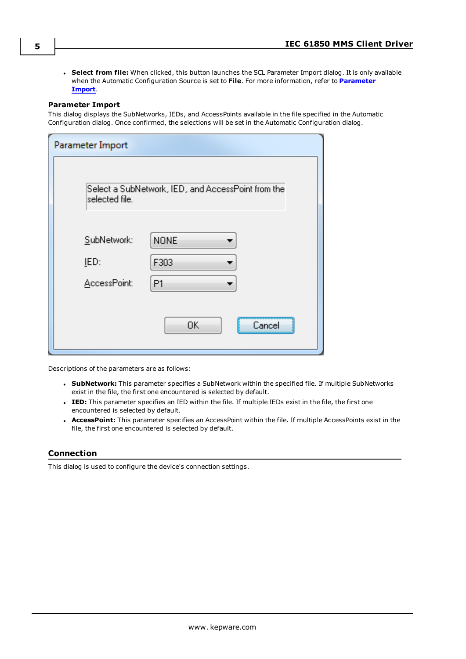<span id="page-4-1"></span>**.** Select from file: When clicked, this button launches the SCL Parameter Import dialog. It is only available when the Automatic Configuration Source is set to **File**. For more information, refer to **[Parameter](#page-4-1) [Import](#page-4-1)**.

#### **Parameter Import**

This dialog displays the SubNetworks, IEDs, and AccessPoints available in the file specified in the Automatic Configuration dialog. Once confirmed, the selections will be set in the Automatic Configuration dialog.

| Parameter Import                    |                                                    |
|-------------------------------------|----------------------------------------------------|
| selected file.                      | Select a SubNetwork, IED, and AccessPoint from the |
| SubNetwork:<br>IED:<br>AccessPoint: | NONE<br>F303<br>P1                                 |
|                                     | 0K<br>Cancel                                       |

Descriptions of the parameters are as follows:

- <sup>l</sup> **SubNetwork:** This parameter specifies a SubNetwork within the specified file. If multiple SubNetworks exist in the file, the first one encountered is selected by default.
- <sup>l</sup> **IED:** This parameter specifies an IED within the file. If multiple IEDs exist in the file, the first one encountered is selected by default.
- **AccessPoint:** This parameter specifies an AccessPoint within the file. If multiple AccessPoints exist in the file, the first one encountered is selected by default.

#### <span id="page-4-0"></span>**Connection**

This dialog is used to configure the device's connection settings.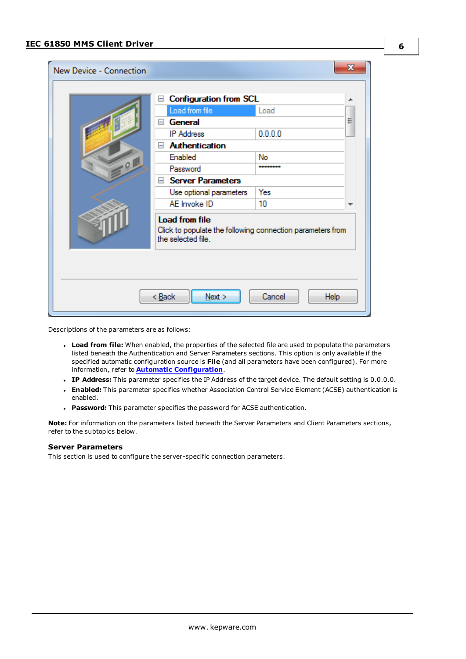| New Device - Connection                  |                                                                                                           |          | x |  |
|------------------------------------------|-----------------------------------------------------------------------------------------------------------|----------|---|--|
|                                          | <b>Configuration from SCL</b><br>$\equiv$                                                                 |          | ▴ |  |
|                                          | Load from file                                                                                            | Load     |   |  |
|                                          | General<br>$=$                                                                                            |          | Ξ |  |
|                                          | <b>IP Address</b>                                                                                         | 0.0.0.0  |   |  |
|                                          | <b>Authentication</b>                                                                                     |          |   |  |
|                                          | Enabled                                                                                                   | No       |   |  |
| 91                                       | Password                                                                                                  | ******** |   |  |
|                                          | Server Parameters                                                                                         |          |   |  |
|                                          | Use optional parameters                                                                                   | Yes      |   |  |
|                                          | AE Invoke ID                                                                                              | 10       |   |  |
|                                          | <b>Load from file</b><br>Click to populate the following connection parameters from<br>the selected file. |          |   |  |
|                                          |                                                                                                           |          |   |  |
| Next<br>Cancel<br>Help<br>< <u>B</u> ack |                                                                                                           |          |   |  |

Descriptions of the parameters are as follows:

- <sup>l</sup> **Load from file:** When enabled, the properties of the selected file are used to populate the parameters listed beneath the Authentication and Server Parameters sections. This option is only available if the specified automatic configuration source is **File** (and all parameters have been configured). For more information, refer to **Automatic [Configuration](#page-3-1)**.
- <sup>l</sup> **IP Address:** This parameter specifies the IP Address of the target device. The default setting is 0.0.0.0.
- **Enabled:** This parameter specifies whether Association Control Service Element (ACSE) authentication is enabled.
- **Password:** This parameter specifies the password for ACSE authentication.

**Note:** For information on the parameters listed beneath the Server Parameters and Client Parameters sections, refer to the subtopics below.

#### **Server Parameters**

This section is used to configure the server-specific connection parameters.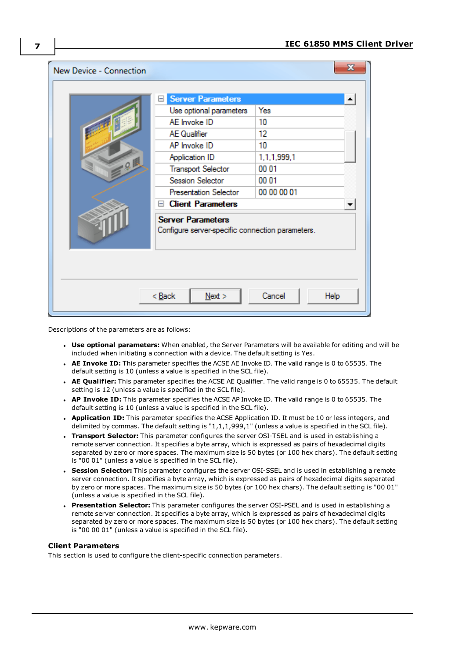| New Device - Connection |                                                                              | x              |
|-------------------------|------------------------------------------------------------------------------|----------------|
|                         | <b>Server Parameters</b>                                                     |                |
|                         | Use optional parameters                                                      | Yes            |
|                         | AE Invoke ID                                                                 | 10             |
|                         | <b>AE</b> Qualifier                                                          | 12             |
|                         | AP Invoke ID                                                                 | 10             |
|                         | Application ID                                                               | 1,1,1,999,1    |
| Q                       | <b>Transport Selector</b>                                                    | 00 01          |
|                         | Session Selector                                                             | 00 01          |
|                         | <b>Presentation Selector</b>                                                 | 00 00 00 01    |
|                         | <b>Client Parameters</b><br>E                                                |                |
|                         | <b>Server Parameters</b><br>Configure server-specific connection parameters. |                |
|                         | < Back<br>Next                                                               | Cancel<br>Help |

Descriptions of the parameters are as follows:

- <sup>l</sup> **Use optional parameters:** When enabled, the Server Parameters will be available for editing and will be included when initiating a connection with a device. The default setting is Yes.
- <sup>l</sup> **AE Invoke ID:** This parameter specifies the ACSE AE Invoke ID. The valid range is 0 to 65535. The default setting is 10 (unless a value is specified in the SCL file).
- <sup>l</sup> **AE Qualifier:** This parameter specifies the ACSE AE Qualifier. The valid range is 0 to 65535. The default setting is 12 (unless a value is specified in the SCL file).
- <sup>l</sup> **AP Invoke ID:** This parameter specifies the ACSE AP Invoke ID. The valid range is 0 to 65535. The default setting is 10 (unless a value is specified in the SCL file).
- **· Application ID:** This parameter specifies the ACSE Application ID. It must be 10 or less integers, and delimited by commas. The default setting is "1,1,1,999,1" (unless a value is specified in the SCL file).
- **Transport Selector:** This parameter configures the server OSI-TSEL and is used in establishing a remote server connection. It specifies a byte array, which is expressed as pairs of hexadecimal digits separated by zero or more spaces. The maximum size is 50 bytes (or 100 hex chars). The default setting is "00 01" (unless a value is specified in the SCL file).
- **. Session Selector:** This parameter configures the server OSI-SSEL and is used in establishing a remote server connection. It specifies a byte array, which is expressed as pairs of hexadecimal digits separated by zero or more spaces. The maximum size is 50 bytes (or 100 hex chars). The default setting is "00 01" (unless a value is specified in the SCL file).
- **Presentation Selector:** This parameter configures the server OSI-PSEL and is used in establishing a remote server connection. It specifies a byte array, which is expressed as pairs of hexadecimal digits separated by zero or more spaces. The maximum size is 50 bytes (or 100 hex chars). The default setting is "00 00 01" (unless a value is specified in the SCL file).

### **Client Parameters**

This section is used to configure the client-specific connection parameters.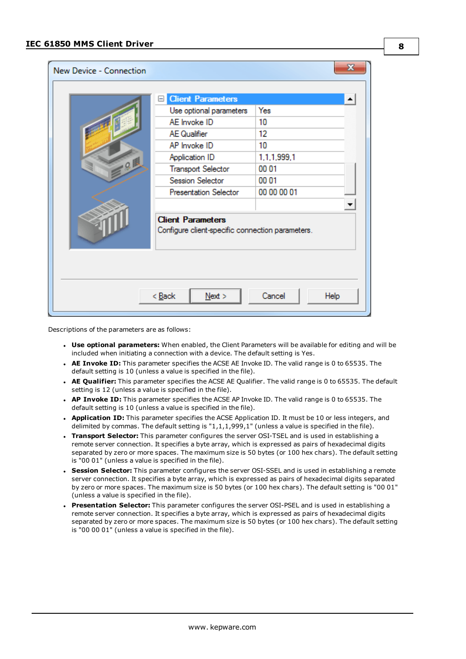| New Device - Connection          |                                                                              | x           |  |
|----------------------------------|------------------------------------------------------------------------------|-------------|--|
|                                  | <b>Client Parameters</b>                                                     |             |  |
|                                  | Use optional parameters                                                      | Yes         |  |
|                                  | AE Invoke ID                                                                 | 10          |  |
|                                  | <b>AE Qualifier</b>                                                          | 12          |  |
|                                  | AP Invoke ID                                                                 | 10          |  |
|                                  | Application ID                                                               | 1,1,1,999,1 |  |
| Q                                | <b>Transport Selector</b>                                                    | 00 01       |  |
|                                  | Session Selector                                                             | 00 01       |  |
|                                  | <b>Presentation Selector</b>                                                 | 00 00 00 01 |  |
|                                  |                                                                              |             |  |
|                                  | <b>Client Parameters</b><br>Configure client-specific connection parameters. |             |  |
| Cancel<br>< Back<br>Next<br>Help |                                                                              |             |  |

Descriptions of the parameters are as follows:

- <sup>l</sup> **Use optional parameters:** When enabled, the Client Parameters will be available for editing and will be included when initiating a connection with a device. The default setting is Yes.
- <sup>l</sup> **AE Invoke ID:** This parameter specifies the ACSE AE Invoke ID. The valid range is 0 to 65535. The default setting is 10 (unless a value is specified in the file).
- <sup>l</sup> **AE Qualifier:** This parameter specifies the ACSE AE Qualifier. The valid range is 0 to 65535. The default setting is 12 (unless a value is specified in the file).
- <sup>l</sup> **AP Invoke ID:** This parameter specifies the ACSE AP Invoke ID. The valid range is 0 to 65535. The default setting is 10 (unless a value is specified in the file).
- **Application ID:** This parameter specifies the ACSE Application ID. It must be 10 or less integers, and delimited by commas. The default setting is "1,1,1,999,1" (unless a value is specified in the file).
- **Transport Selector:** This parameter configures the server OSI-TSEL and is used in establishing a remote server connection. It specifies a byte array, which is expressed as pairs of hexadecimal digits separated by zero or more spaces. The maximum size is 50 bytes (or 100 hex chars). The default setting is "00 01" (unless a value is specified in the file).
- **. Session Selector:** This parameter configures the server OSI-SSEL and is used in establishing a remote server connection. It specifies a byte array, which is expressed as pairs of hexadecimal digits separated by zero or more spaces. The maximum size is 50 bytes (or 100 hex chars). The default setting is "00 01" (unless a value is specified in the file).
- **Presentation Selector:** This parameter configures the server OSI-PSEL and is used in establishing a remote server connection. It specifies a byte array, which is expressed as pairs of hexadecimal digits separated by zero or more spaces. The maximum size is 50 bytes (or 100 hex chars). The default setting is "00 00 01" (unless a value is specified in the file).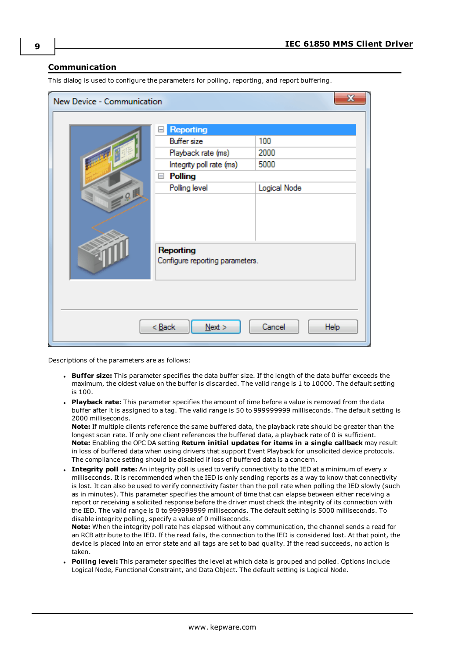### <span id="page-8-0"></span>**Communication**

| $\mathbf{x}$<br>New Device - Communication |                                              |              |  |
|--------------------------------------------|----------------------------------------------|--------------|--|
|                                            | <b>Reporting</b>                             |              |  |
|                                            | <b>Buffer size</b>                           | 100          |  |
|                                            | Playback rate (ms)                           | 2000         |  |
|                                            | Integrity poll rate (ms)                     | 5000         |  |
|                                            | <b>Polling</b><br>$\Box$                     |              |  |
|                                            | Polling level                                | Logical Node |  |
| $-9.1$                                     |                                              |              |  |
|                                            |                                              |              |  |
|                                            |                                              |              |  |
|                                            |                                              |              |  |
|                                            | Reporting<br>Configure reporting parameters. |              |  |
|                                            |                                              |              |  |
|                                            |                                              |              |  |
|                                            |                                              |              |  |
|                                            |                                              |              |  |
| < Back<br>Cancel<br>Help<br>$N$ ext >      |                                              |              |  |
|                                            |                                              |              |  |

This dialog is used to configure the parameters for polling, reporting, and report buffering.

Descriptions of the parameters are as follows:

- <sup>l</sup> **Buffer size:** This parameter specifies the data buffer size. If the length of the data buffer exceeds the maximum, the oldest value on the buffer is discarded. The valid range is 1 to 10000. The default setting is 100.
- **Playback rate:** This parameter specifies the amount of time before a value is removed from the data buffer after it is assigned to a tag. The valid range is 50 to 999999999 milliseconds. The default setting is 2000 milliseconds.

**Note:** If multiple clients reference the same buffered data, the playback rate should be greater than the longest scan rate. If only one client references the buffered data, a playback rate of 0 is sufficient. **Note:** Enabling the OPC DA setting **Return initial updates for items in a single callback** may result in loss of buffered data when using drivers that support Event Playback for unsolicited device protocols. The compliance setting should be disabled if loss of buffered data is a concern.

<sup>l</sup> **Integrity poll rate:** An integrity poll is used to verify connectivity to the IED at a minimum of every *x* milliseconds. It is recommended when the IED is only sending reports as a way to know that connectivity is lost. It can also be used to verify connectivity faster than the poll rate when polling the IED slowly (such as in minutes). This parameter specifies the amount of time that can elapse between either receiving a report or receiving a solicited response before the driver must check the integrity of its connection with the IED. The valid range is 0 to 999999999 milliseconds. The default setting is 5000 milliseconds. To disable integrity polling, specify a value of 0 milliseconds.

**Note:** When the integrity poll rate has elapsed without any communication, the channel sends a read for an RCB attribute to the IED. If the read fails, the connection to the IED is considered lost. At that point, the device is placed into an error state and all tags are set to bad quality. If the read succeeds, no action is taken.

<sup>l</sup> **Polling level:** This parameter specifies the level at which data is grouped and polled. Options include Logical Node, Functional Constraint, and Data Object. The default setting is Logical Node.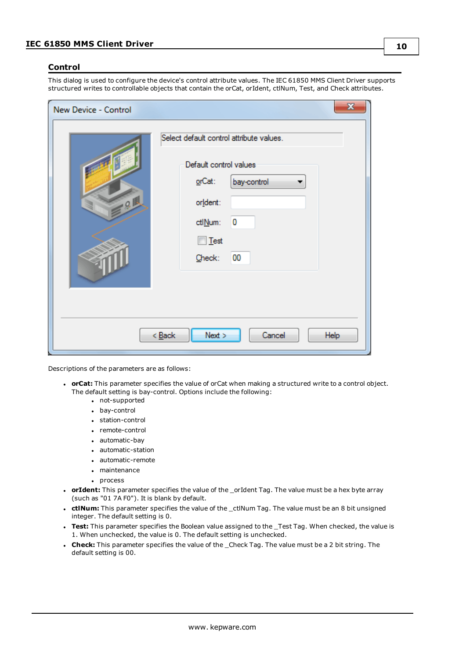#### <span id="page-9-0"></span>**Control**

This dialog is used to configure the device's control attribute values. The IEC 61850 MMS Client Driver supports structured writes to controllable objects that contain the orCat, orIdent, ctlNum, Test, and Check attributes.

| New Device - Control | $\mathbf{x}$                                                                                                                                           |
|----------------------|--------------------------------------------------------------------------------------------------------------------------------------------------------|
| 701                  | Select default control attribute values.<br>Default control values<br>orCat:<br>bay-control<br>orldent:<br>0<br>ctlNum:<br>$\Box$ Test<br>00<br>Check: |
|                      | Next<br>Cancel<br>$<$ Back<br>Help                                                                                                                     |

Descriptions of the parameters are as follows:

- **· orCat:** This parameter specifies the value of orCat when making a structured write to a control object. The default setting is bay-control. Options include the following:
	- not-supported
	- bay-control
	- station-control
	- remote-control
	- automatic-bay
	- automatic-station
	- automatic-remote
	- maintenance
	- process
- **· orIdent:** This parameter specifies the value of the \_orIdent Tag. The value must be a hex byte array (such as "01 7A F0"). It is blank by default.
- **ctlNum:** This parameter specifies the value of the \_ctlNum Tag. The value must be an 8 bit unsigned integer. The default setting is 0.
- **· Test:** This parameter specifies the Boolean value assigned to the \_Test Tag. When checked, the value is 1. When unchecked, the value is 0. The default setting is unchecked.
- **Check:** This parameter specifies the value of the Check Tag. The value must be a 2 bit string. The default setting is 00.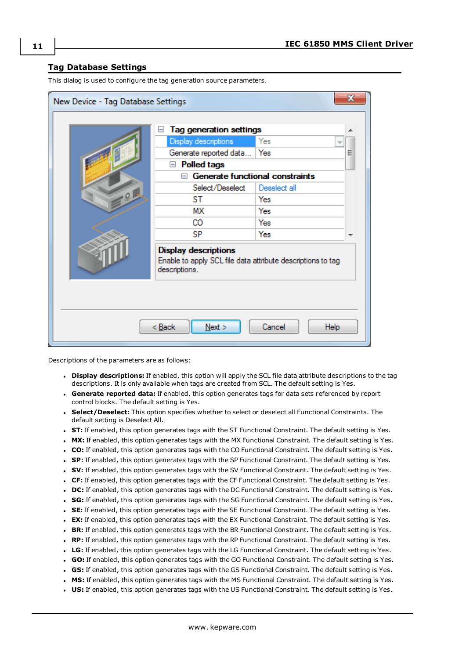#### <span id="page-10-0"></span>**Tag Database Settings**

This dialog is used to configure the tag generation source parameters.

| $\mathbf{x}$<br>New Device - Tag Database Settings |                                                                                                             |                                        |   |
|----------------------------------------------------|-------------------------------------------------------------------------------------------------------------|----------------------------------------|---|
|                                                    | <b>Tag generation settings</b>                                                                              |                                        |   |
|                                                    | Display descriptions                                                                                        | Yes<br>÷                               |   |
|                                                    | Generate reported data                                                                                      | Yes                                    | Ξ |
|                                                    | <b>Polled tags</b><br>$=$                                                                                   |                                        |   |
|                                                    | ⊟                                                                                                           | <b>Generate functional constraints</b> |   |
|                                                    | Select/Deselect                                                                                             | Deselect all                           |   |
| Q                                                  | ST                                                                                                          | Yes                                    |   |
|                                                    | МX                                                                                                          | Yes                                    |   |
|                                                    | CO                                                                                                          | Yes                                    |   |
|                                                    | SP                                                                                                          | Yes                                    |   |
|                                                    | <b>Display descriptions</b><br>Enable to apply SCL file data attribute descriptions to tag<br>descriptions. |                                        |   |
| < Back<br>Next<br>Cancel<br><b>Help</b>            |                                                                                                             |                                        |   |

Descriptions of the parameters are as follows:

- **.** Display descriptions: If enabled, this option will apply the SCL file data attribute descriptions to the tag descriptions. It is only available when tags are created from SCL. The default setting is Yes.
- <sup>l</sup> **Generate reported data:** If enabled, this option generates tags for data sets referenced by report control blocks. The default setting is Yes.
- **.** Select/Deselect: This option specifies whether to select or deselect all Functional Constraints. The default setting is Deselect All.
- **ST:** If enabled, this option generates tags with the ST Functional Constraint. The default setting is Yes.
- **MX:** If enabled, this option generates tags with the MX Functional Constraint. The default setting is Yes.
- <sup>l</sup> **CO:** If enabled, this option generates tags with the CO Functional Constraint. The default setting is Yes.
- **SP:** If enabled, this option generates tags with the SP Functional Constraint. The default setting is Yes.
- <sup>l</sup> **SV:** If enabled, this option generates tags with the SV Functional Constraint. The default setting is Yes.
- <sup>l</sup> **CF:** If enabled, this option generates tags with the CF Functional Constraint. The default setting is Yes.
- **DC:** If enabled, this option generates tags with the DC Functional Constraint. The default setting is Yes.
- **SG:** If enabled, this option generates tags with the SG Functional Constraint. The default setting is Yes.
- **SE:** If enabled, this option generates tags with the SE Functional Constraint. The default setting is Yes.
- **EX:** If enabled, this option generates tags with the EX Functional Constraint. The default setting is Yes.
- **BR:** If enabled, this option generates tags with the BR Functional Constraint. The default setting is Yes.
- <sup>l</sup> **RP:** If enabled, this option generates tags with the RP Functional Constraint. The default setting is Yes.
- **LG:** If enabled, this option generates tags with the LG Functional Constraint. The default setting is Yes.
- <sup>l</sup> **GO:** If enabled, this option generates tags with the GO Functional Constraint. The default setting is Yes.
- **GS:** If enabled, this option generates tags with the GS Functional Constraint. The default setting is Yes.
- **MS:** If enabled, this option generates tags with the MS Functional Constraint. The default setting is Yes.
- **US:** If enabled, this option generates tags with the US Functional Constraint. The default setting is Yes.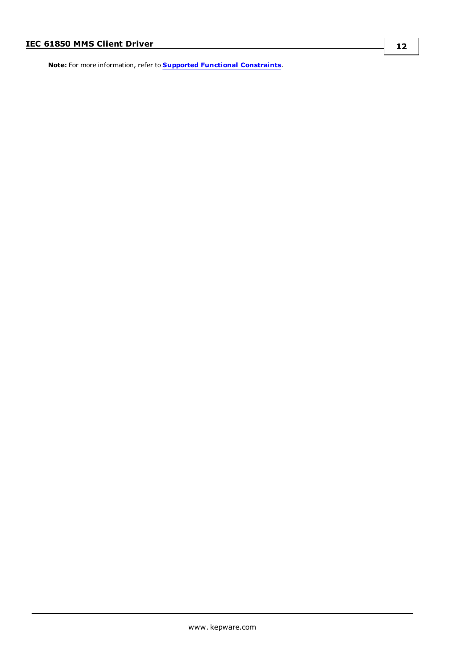**Note:** For more information, refer to **Supported Functional Constraints**.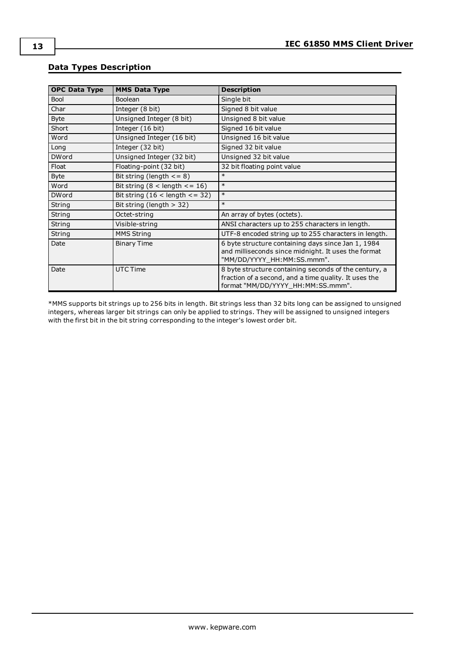| <b>OPC Data Type</b> | <b>MMS Data Type</b>                  | <b>Description</b>                                                                                                                                  |
|----------------------|---------------------------------------|-----------------------------------------------------------------------------------------------------------------------------------------------------|
| <b>Bool</b>          | Boolean                               | Single bit                                                                                                                                          |
| Char                 | Integer (8 bit)                       | Signed 8 bit value                                                                                                                                  |
| <b>Byte</b>          | Unsigned Integer (8 bit)              | Unsigned 8 bit value                                                                                                                                |
| Short                | Integer (16 bit)                      | Signed 16 bit value                                                                                                                                 |
| Word                 | Unsigned Integer (16 bit)             | Unsigned 16 bit value                                                                                                                               |
| Long                 | Integer (32 bit)                      | Signed 32 bit value                                                                                                                                 |
| <b>DWord</b>         | Unsigned Integer (32 bit)             | Unsigned 32 bit value                                                                                                                               |
| Float                | Floating-point (32 bit)               | 32 bit floating point value                                                                                                                         |
| <b>Byte</b>          | Bit string (length $\leq$ = 8)        | $\ast$                                                                                                                                              |
| Word                 | Bit string $(8 <$ length $\le$ = 16)  | $\ast$                                                                                                                                              |
| <b>DWord</b>         | Bit string $(16 <$ length $\lt$ = 32) | $\ast$                                                                                                                                              |
| String               | Bit string (length $>$ 32)            | $\ast$                                                                                                                                              |
| String               | Octet-string                          | An array of bytes (octets).                                                                                                                         |
| String               | Visible-string                        | ANSI characters up to 255 characters in length.                                                                                                     |
| String               | <b>MMS String</b>                     | UTF-8 encoded string up to 255 characters in length.                                                                                                |
| Date                 | <b>Binary Time</b>                    | 6 byte structure containing days since Jan 1, 1984<br>and milliseconds since midnight. It uses the format<br>"MM/DD/YYYY_HH:MM:SS.mmm".             |
| Date                 | UTC Time                              | 8 byte structure containing seconds of the century, a<br>fraction of a second, and a time quality. It uses the<br>format "MM/DD/YYYY_HH:MM:SS.mmm". |

# <span id="page-12-0"></span>**Data Types Description**

\*MMS supports bit strings up to 256 bits in length. Bit strings less than 32 bits long can be assigned to unsigned integers, whereas larger bit strings can only be applied to strings. They will be assigned to unsigned integers with the first bit in the bit string corresponding to the integer's lowest order bit.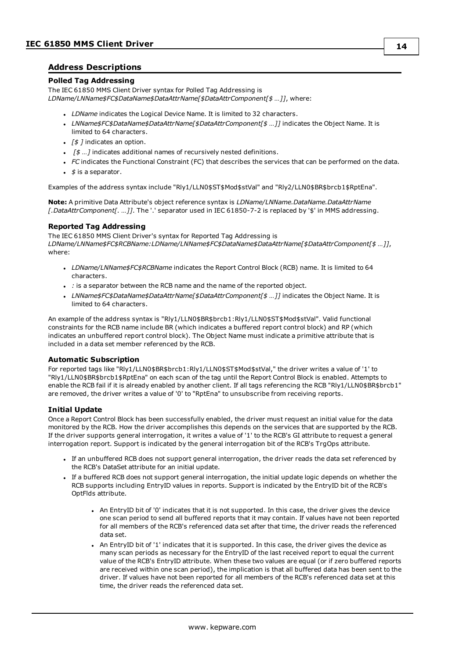### <span id="page-13-0"></span>**Address Descriptions**

#### **Polled Tag Addressing**

The IEC 61850 MMS Client Driver syntax for Polled Tag Addressing is

*LDName/LNName\$FC\$DataName\$DataAttrName[\$DataAttrComponent[\$ …]]*, where:

- **.** *LDName* indicates the Logical Device Name. It is limited to 32 characters.
- <sup>l</sup> *LNName\$FC\$DataName\$DataAttrName[\$DataAttrComponent[\$ …]]* indicates the Object Name. It is limited to 64 characters.
- **.** *[\$ ]* indicates an option.
- **.**  $\sqrt{5}$  ... *]* indicates additional names of recursively nested definitions.
- *FC* indicates the Functional Constraint (FC) that describes the services that can be performed on the data.
- <sup>l</sup> *\$* is a separator.

Examples of the address syntax include "Rly1/LLN0\$ST\$Mod\$stVal" and "Rly2/LLN0\$BR\$brcb1\$RptEna".

**Note:** A primitive Data Attribute's object reference syntax is *LDName/LNName.DataName.DataAttrName [.DataAttrComponent[. …]]*. The '.' separator used in IEC 61850-7-2 is replaced by '\$' in MMS addressing.

#### **Reported Tag Addressing**

The IEC 61850 MMS Client Driver's syntax for Reported Tag Addressing is *LDName/LNName\$FC\$RCBName:LDName/LNName\$FC\$DataName\$DataAttrName[\$DataAttrComponent[\$ …]]*, where:

- <sup>l</sup> *LDName/LNName\$FC\$RCBName* indicates the Report Control Block (RCB) name. It is limited to 64 characters.
- . : is a separator between the RCB name and the name of the reported object.
- <sup>l</sup> *LNName\$FC\$DataName\$DataAttrName[\$DataAttrComponent[\$ …]]* indicates the Object Name. It is limited to 64 characters.

An example of the address syntax is "Rly1/LLN0\$BR\$brcb1:Rly1/LLN0\$ST\$Mod\$stVal". Valid functional constraints for the RCB name include BR (which indicates a buffered report control block) and RP (which indicates an unbuffered report control block). The Object Name must indicate a primitive attribute that is included in a data set member referenced by the RCB.

#### **Automatic Subscription**

For reported tags like "Rly1/LLN0\$BR\$brcb1:Rly1/LLN0\$ST\$Mod\$stVal," the driver writes a value of '1' to "Rly1/LLN0\$BR\$brcb1\$RptEna" on each scan of the tag until the Report Control Block is enabled. Attempts to enable the RCB fail if it is already enabled by another client. If all tags referencing the RCB "Rly1/LLN0\$BR\$brcb1" are removed, the driver writes a value of '0' to "RptEna" to unsubscribe from receiving reports.

#### **Initial Update**

Once a Report Control Block has been successfully enabled, the driver must request an initial value for the data monitored by the RCB. How the driver accomplishes this depends on the services that are supported by the RCB. If the driver supports general interrogation, it writes a value of '1' to the RCB's GI attribute to request a general interrogation report. Support is indicated by the general interrogation bit of the RCB's TrgOps attribute.

- <sup>l</sup> If an unbuffered RCB does not support general interrogation, the driver reads the data set referenced by the RCB's DataSet attribute for an initial update.
- If a buffered RCB does not support general interrogation, the initial update logic depends on whether the RCB supports including EntryID values in reports. Support is indicated by the EntryID bit of the RCB's OptFlds attribute.
	- . An EntryID bit of '0' indicates that it is not supported. In this case, the driver gives the device one scan period to send all buffered reports that it may contain. If values have not been reported for all members of the RCB's referenced data set after that time, the driver reads the referenced data set.
	- An EntryID bit of '1' indicates that it is supported. In this case, the driver gives the device as many scan periods as necessary for the EntryID of the last received report to equal the current value of the RCB's EntryID attribute. When these two values are equal (or if zero buffered reports are received within one scan period), the implication is that all buffered data has been sent to the driver. If values have not been reported for all members of the RCB's referenced data set at this time, the driver reads the referenced data set.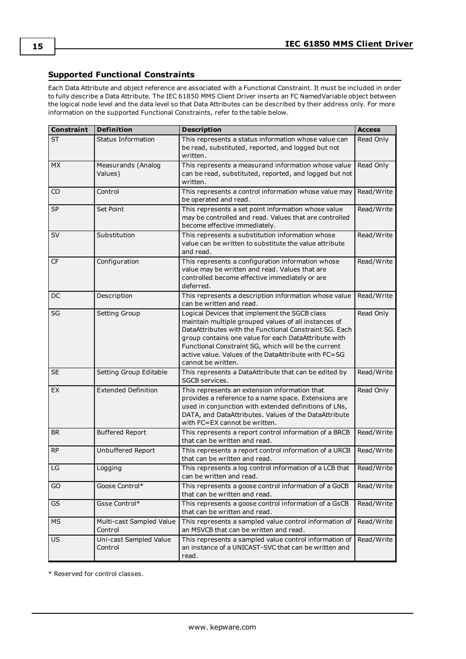### <span id="page-14-0"></span>**Supported Functional Constraints**

Each Data Attribute and object reference are associated with a Functional Constraint. It must be included in order to fully describe a Data Attribute. The IEC 61850 MMS Client Driver inserts an FC NamedVariable object between the logical node level and the data level so that Data Attributes can be described by their address only. For more information on the supported Functional Constraints, refer to the table below.

| <b>Constraint</b> | <b>Definition</b>                   | <b>Description</b>                                                                                                                                                                                                                                                                                                                                           | <b>Access</b> |
|-------------------|-------------------------------------|--------------------------------------------------------------------------------------------------------------------------------------------------------------------------------------------------------------------------------------------------------------------------------------------------------------------------------------------------------------|---------------|
| ST                | <b>Status Information</b>           | This represents a status information whose value can<br>be read, substituted, reported, and logged but not<br>written.                                                                                                                                                                                                                                       | Read Only     |
| <b>MX</b>         | Measurands (Analog<br>Values)       | This represents a measurand information whose value<br>can be read, substituted, reported, and logged but not<br>written.                                                                                                                                                                                                                                    | Read Only     |
| CO                | Control                             | This represents a control information whose value may<br>be operated and read.                                                                                                                                                                                                                                                                               | Read/Write    |
| <b>SP</b>         | Set Point                           | This represents a set point information whose value<br>may be controlled and read. Values that are controlled<br>become effective immediately.                                                                                                                                                                                                               | Read/Write    |
| SV                | Substitution                        | This represents a substitution information whose<br>value can be written to substitute the value attribute<br>and read.                                                                                                                                                                                                                                      | Read/Write    |
| CF                | Configuration                       | This represents a configuration information whose<br>value may be written and read. Values that are<br>controlled become effective immediately or are<br>deferred.                                                                                                                                                                                           | Read/Write    |
| DC                | Description                         | This represents a description information whose value<br>can be written and read.                                                                                                                                                                                                                                                                            | Read/Write    |
| SG                | Setting Group                       | Logical Devices that implement the SGCB class<br>maintain multiple grouped values of all instances of<br>DataAttributes with the Functional Constraint SG. Each<br>group contains one value for each DataAttribute with<br>Functional Constraint SG, which will be the current<br>active value. Values of the DataAttribute with FC=SG<br>cannot be written. | Read Only     |
| <b>SE</b>         | Setting Group Editable              | This represents a DataAttribute that can be edited by<br>SGCB services.                                                                                                                                                                                                                                                                                      | Read/Write    |
| EX                | <b>Extended Definition</b>          | This represents an extension information that<br>provides a reference to a name space. Extensions are<br>used in conjunction with extended definitions of LNs,<br>DATA, and DataAttributes. Values of the DataAttribute<br>with FC=EX cannot be written.                                                                                                     | Read Only     |
| BR.               | <b>Buffered Report</b>              | This represents a report control information of a BRCB<br>that can be written and read.                                                                                                                                                                                                                                                                      | Read/Write    |
| <b>RP</b>         | Unbuffered Report                   | This represents a report control information of a URCB<br>that can be written and read.                                                                                                                                                                                                                                                                      | Read/Write    |
| LG                | Logging                             | This represents a log control information of a LCB that<br>can be written and read.                                                                                                                                                                                                                                                                          | Read/Write    |
| GO                | Goose Control*                      | This represents a goose control information of a GoCB<br>that can be written and read.                                                                                                                                                                                                                                                                       | Read/Write    |
| GS                | Gsse Control*                       | This represents a goose control information of a GsCB<br>that can be written and read.                                                                                                                                                                                                                                                                       | Read/Write    |
| MS                | Multi-cast Sampled Value<br>Control | This represents a sampled value control information of<br>an MSVCB that can be written and read.                                                                                                                                                                                                                                                             | Read/Write    |
| US                | Uni-cast Sampled Value<br>Control   | This represents a sampled value control information of<br>an instance of a UNICAST-SVC that can be written and<br>read.                                                                                                                                                                                                                                      | Read/Write    |

\* Reserved for control classes.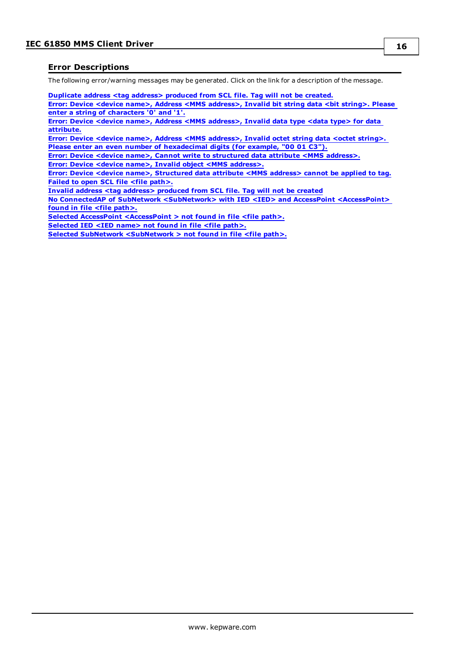### <span id="page-15-0"></span>**Error Descriptions**

The following error/warning messages may be generated. Click on the link for a description of the message.

**[Duplicate](#page-16-0) address <tag address> produced from SCL file. Tag will not be created.**

**Error: Device <device name>, Address <MMS [address>,](#page-16-1) Invalid bit string data <bit string>. Please enter a string of [characters](#page-16-1) '0' and '1'.**

**Error: Device <device name>, Address <MMS [address>,](#page-16-2) Invalid data type <data type> for data [attribute.](#page-16-2)**

**Error: Device <device name>, Address <MMS [address>,](#page-16-3) Invalid octet string data <octet string>. Please enter an even number of [hexadecimal](#page-16-3) digits (for example, "00 01 C3").**

**Error: Device <device name>, Cannot write to [structured](#page-16-4) data attribute <MMS address>.**

**Error: Device <device name>, Invalid object <MMS [address>.](#page-17-0)**

**Error: Device <device name>, [Structured](#page-17-1) data attribute <MMS address> cannot be applied to tag. Failed to open SCL file <file [path>.](#page-17-2)**

**Invalid address <tag address> [produced](#page-17-3) from SCL file. Tag will not be created**

**No ConnectedAP of SubNetwork [<SubNetwork>](#page-17-4) with IED <IED> and AccessPoint <AccessPoint> found in file <file [path>.](#page-17-4)**

**Selected AccessPoint [<AccessPoint](#page-18-0) > not found in file <file path>.**

**[Selected](#page-18-1) IED <IED name> not found in file <file path>.**

**Selected SubNetwork [<SubNetwork](#page-18-2) > not found in file <file path>.**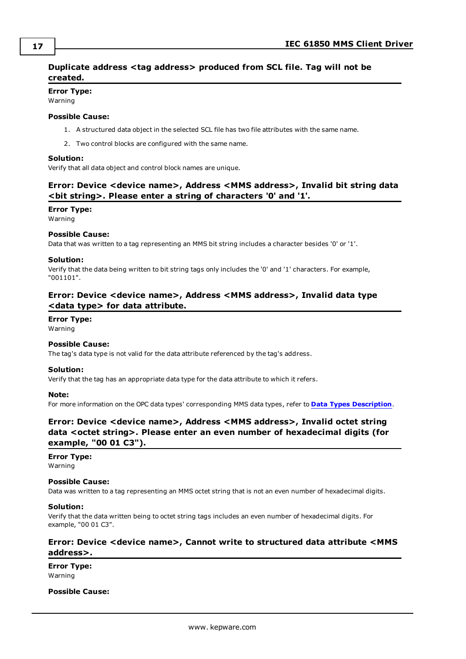# <span id="page-16-0"></span>**Duplicate address <tag address> produced from SCL file. Tag will not be created.**

#### **Error Type:**

Warning

#### **Possible Cause:**

- 1. A structured data object in the selected SCL file has two file attributes with the same name.
- 2. Two control blocks are configured with the same name.

#### **Solution:**

<span id="page-16-1"></span>Verify that all data object and control block names are unique.

# **Error: Device <device name>, Address <MMS address>, Invalid bit string data <bit string>. Please enter a string of characters '0' and '1'.**

#### **Error Type:**

Warning

#### **Possible Cause:**

Data that was written to a tag representing an MMS bit string includes a character besides '0' or '1'.

#### **Solution:**

Verify that the data being written to bit string tags only includes the '0' and '1' characters. For example, "001101".

# <span id="page-16-2"></span>**Error: Device <device name>, Address <MMS address>, Invalid data type <data type> for data attribute.**

#### **Error Type:**

Warning

#### **Possible Cause:**

The tag's data type is not valid for the data attribute referenced by the tag's address.

#### **Solution:**

Verify that the tag has an appropriate data type for the data attribute to which it refers.

#### **Note:**

<span id="page-16-3"></span>For more information on the OPC data types' corresponding MMS data types, refer to **Data Types [Description](#page-12-0)**.

# **Error: Device <device name>, Address <MMS address>, Invalid octet string data <octet string>. Please enter an even number of hexadecimal digits (for example, "00 01 C3").**

#### **Error Type:**

Warning

#### **Possible Cause:**

Data was written to a tag representing an MMS octet string that is not an even number of hexadecimal digits.

#### **Solution:**

Verify that the data written being to octet string tags includes an even number of hexadecimal digits. For example, "00 01 C3".

## <span id="page-16-4"></span>**Error: Device <device name>, Cannot write to structured data attribute <MMS address>.**

**Error Type:** Warning

#### **Possible Cause:**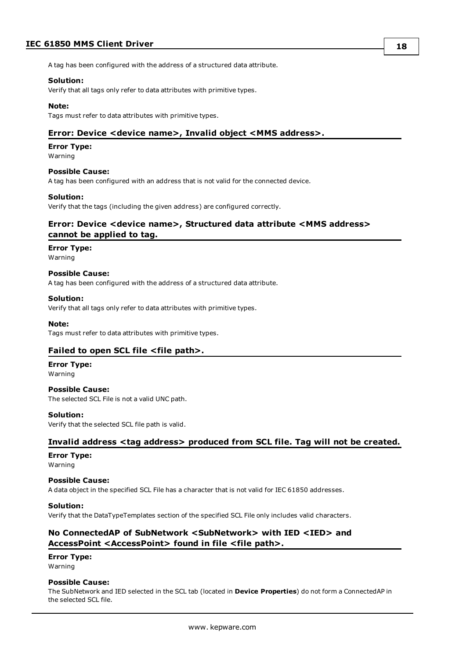# **IEC 61850 MMS Client Driver**

**18**

A tag has been configured with the address of a structured data attribute.

#### **Solution:**

Verify that all tags only refer to data attributes with primitive types.

#### **Note:**

<span id="page-17-0"></span>Tags must refer to data attributes with primitive types.

#### **Error: Device <device name>, Invalid object <MMS address>.**

#### **Error Type:**

Warning

#### **Possible Cause:**

A tag has been configured with an address that is not valid for the connected device.

#### **Solution:**

<span id="page-17-1"></span>Verify that the tags (including the given address) are configured correctly.

## **Error: Device <device name>, Structured data attribute <MMS address> cannot be applied to tag.**

#### **Error Type:**

Warning

#### **Possible Cause:**

A tag has been configured with the address of a structured data attribute.

#### **Solution:**

Verify that all tags only refer to data attributes with primitive types.

#### **Note:**

<span id="page-17-2"></span>Tags must refer to data attributes with primitive types.

#### **Failed to open SCL file <file path>.**

#### **Error Type:**

Warning

# **Possible Cause:**

The selected SCL File is not a valid UNC path.

#### **Solution:**

<span id="page-17-3"></span>Verify that the selected SCL file path is valid.

## **Invalid address <tag address> produced from SCL file. Tag will not be created.**

## **Error Type:**

Warning

#### **Possible Cause:**

A data object in the specified SCL File has a character that is not valid for IEC 61850 addresses.

#### **Solution:**

<span id="page-17-4"></span>Verify that the DataTypeTemplates section of the specified SCL File only includes valid characters.

## **No ConnectedAP of SubNetwork <SubNetwork> with IED <IED> and AccessPoint <AccessPoint> found in file <file path>.**

#### **Error Type:**

Warning

#### **Possible Cause:**

The SubNetwork and IED selected in the SCL tab (located in **Device Properties**) do not form a ConnectedAP in the selected SCL file.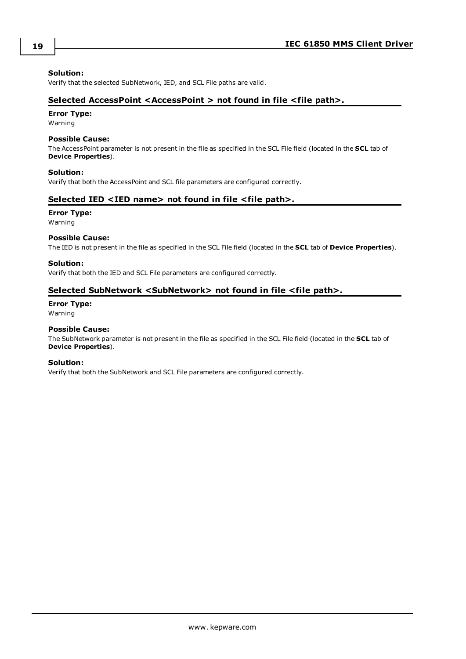#### **Solution:**

<span id="page-18-0"></span>Verify that the selected SubNetwork, IED, and SCL File paths are valid.

### **Selected AccessPoint <AccessPoint > not found in file <file path>.**

#### **Error Type:**

Warning

#### **Possible Cause:**

The AccessPoint parameter is not present in the file as specified in the SCL File field (located in the **SCL** tab of **Device Properties**).

#### **Solution:**

<span id="page-18-1"></span>Verify that both the AccessPoint and SCL file parameters are configured correctly.

#### **Selected IED <IED name> not found in file <file path>.**

#### **Error Type:**

Warning

#### **Possible Cause:**

The IED is not present in the file as specified in the SCL File field (located in the **SCL** tab of **Device Properties**).

#### **Solution:**

<span id="page-18-2"></span>Verify that both the IED and SCL File parameters are configured correctly.

### **Selected SubNetwork <SubNetwork> not found in file <file path>.**

#### **Error Type:**

Warning

#### **Possible Cause:**

The SubNetwork parameter is not present in the file as specified in the SCL File field (located in the **SCL** tab of **Device Properties**).

#### **Solution:**

Verify that both the SubNetwork and SCL File parameters are configured correctly.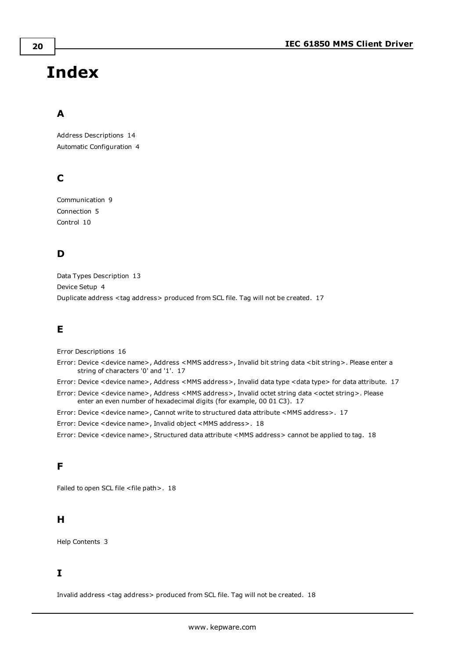# <span id="page-19-0"></span>**Index**

# **A**

Address Descriptions [14](#page-13-0) Automatic Configuration [4](#page-3-1)

# **C**

Communication [9](#page-8-0) Connection [5](#page-4-0) Control [10](#page-9-0)

# **D**

Data Types Description [13](#page-12-0) Device Setup [4](#page-3-0) Duplicate address <tag address> produced from SCL file. Tag will not be created. [17](#page-16-0)

# **E**

Error Descriptions [16](#page-15-0)

Error: Device <device name>, Address <MMS address>, Invalid bit string data <bit string>. Please enter a string of characters '0' and '1'. [17](#page-16-1)

Error: Device <device name>, Address <MMS address>, Invalid data type <data type> for data attribute. [17](#page-16-2)

Error: Device <device name>, Address <MMS address>, Invalid octet string data <octet string>. Please enter an even number of hexadecimal digits (for example, 00 01 C3). [17](#page-16-3)

Error: Device <device name>, Cannot write to structured data attribute <MMS address>. [17](#page-16-4)

Error: Device <device name>, Invalid object <MMS address>. [18](#page-17-0)

Error: Device <device name>, Structured data attribute <MMS address> cannot be applied to tag. [18](#page-17-1)

# **F**

Failed to open SCL file <file path>. [18](#page-17-2)

# **H**

Help Contents [3](#page-2-0)

# **I**

Invalid address <tag address> produced from SCL file. Tag will not be created. [18](#page-17-3)